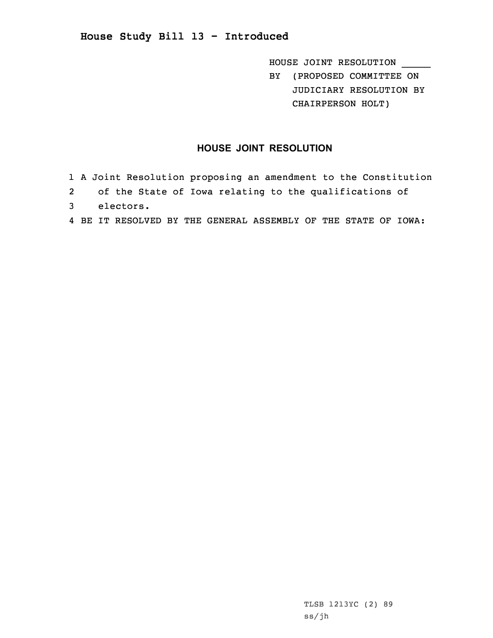HOUSE JOINT RESOLUTION \_\_\_\_\_ BY (PROPOSED COMMITTEE ON JUDICIARY RESOLUTION BY CHAIRPERSON HOLT)

## **HOUSE JOINT RESOLUTION**

- 1 <sup>A</sup> Joint Resolution proposing an amendment to the Constitution
- 2 of the State of Iowa relating to the qualifications of
- 3 electors.
- 4 BE IT RESOLVED BY THE GENERAL ASSEMBLY OF THE STATE OF IOWA: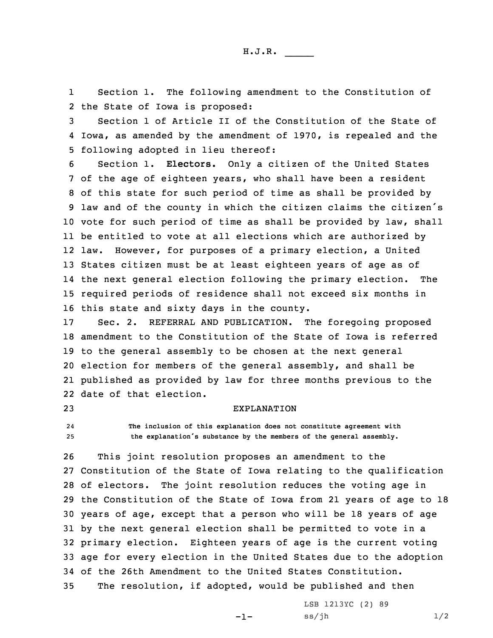H.J.R. \_\_\_\_\_

1 Section 1. The following amendment to the Constitution of 2 the State of Iowa is proposed:

3 Section 1 of Article II of the Constitution of the State of 4 Iowa, as amended by the amendment of 1970, is repealed and the 5 following adopted in lieu thereof:

 Section 1. **Electors.** Only <sup>a</sup> citizen of the United States of the age of eighteen years, who shall have been <sup>a</sup> resident of this state for such period of time as shall be provided by law and of the county in which the citizen claims the citizen's vote for such period of time as shall be provided by law, shall be entitled to vote at all elections which are authorized by law. However, for purposes of <sup>a</sup> primary election, <sup>a</sup> United States citizen must be at least eighteen years of age as of the next general election following the primary election. The required periods of residence shall not exceed six months in this state and sixty days in the county.

 Sec. 2. REFERRAL AND PUBLICATION. The foregoing proposed amendment to the Constitution of the State of Iowa is referred to the general assembly to be chosen at the next general election for members of the general assembly, and shall be published as provided by law for three months previous to the date of that election.

## 23 EXPLANATION

24 **The inclusion of this explanation does not constitute agreement with** <sup>25</sup> **the explanation's substance by the members of the general assembly.**

 This joint resolution proposes an amendment to the Constitution of the State of Iowa relating to the qualification of electors. The joint resolution reduces the voting age in the Constitution of the State of Iowa from 21 years of age to 18 years of age, except that <sup>a</sup> person who will be 18 years of age by the next general election shall be permitted to vote in <sup>a</sup> primary election. Eighteen years of age is the current voting age for every election in the United States due to the adoption of the 26th Amendment to the United States Constitution. The resolution, if adopted, would be published and then

-1-

LSB 1213YC (2) 89  $ss/jh$   $1/2$